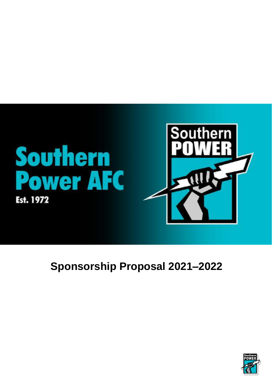

#### **Sponsorship Proposal 2021–2022**

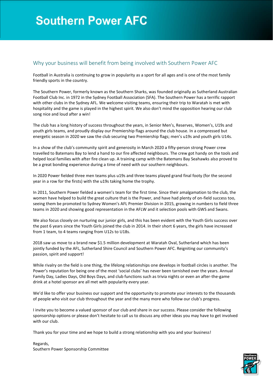#### Why your business will benefit from being involved with Southern Power AFC

Football in Australia is continuing to grow in popularity as a sport for all ages and is one of the most family friendly sports in the country.

The Southern Power, formerly known as the Southern Sharks, was founded originally as Sutherland Australian Football Club Inc. in 1972 in the Sydney Football Association (SFA). The Southern Power has a terrific rapport with other clubs in the Sydney AFL. We welcome visiting teams, ensuring their trip to Waratah is met with hospitality and the game is played in the highest spirit. We also don't mind the opposition hearing our club song nice and loud after a win!

The club has a long history of success throughout the years, in Senior Men's, Reserves, Women's, U19s and youth girls teams, and proudly display our Premiership flags around the club house. In a compressed but energetic season in 2020 we saw the club securing two Premiership flags; men's u19s and youth girls U14s.

In a show of the club's community spirit and generosity in March 2020 a fifty-person strong Power crew travelled to Batemans Bay to lend a hand to our fire affected neighbours. The crew got handy on the tools and helped local families with after fire clean up. A training camp with the Batemans Bay Seahawks also proved to be a great bonding experience during a time of need with our southern neighbours.

In 2020 Power fielded three men teams plus u19s and three teams played grand final footy (for the second year in a row for the firsts) with the u19s taking home the trophy.

In 2011, Southern Power fielded a women's team for the first time. Since their amalgamation to the club, the women have helped to build the great culture that is the Power, and have had plenty of on-field success too, seeing them be promoted to Sydney Women's AFL Premier Division in 2015, growing in numbers to field three teams in 2020 and showing good representation in the AFLW and it selection pools with GWS and Swans.

We also focus closely on nurturing our junior girls, and this has been evident with the Youth Girls success over the past 6 years since the Youth Girls joined the club in 2014. In their short 6 years, the girls have increased from 1 team, to 4 teams ranging from U12s to U18s.

2018 saw us move to a brand new \$1.5 million development at Waratah Oval, Sutherland which has been jointly funded by the AFL, Sutherland Shire Council and Southern Power AFC. Reigniting our community's passion, spirit and support!

While rivalry on the field is one thing, the lifelong relationships one develops in football circles is another. The Power's reputation for being one of the most 'social clubs' has never been tarnished over the years. Annual Family Day, Ladies Days, Old Boys Days, and club functions such as trivia nights or even an after-the-game drink at a hotel sponsor are all met with popularity every year.

We'd like to offer your business our support and the opportunity to promote your interests to the thousands of people who visit our club throughout the year and the many more who follow our club's progress.

I invite you to become a valued sponsor of our club and share in our success. Please consider the following sponsorship options or please don't hesitate to call us to discuss any other ideas you may have to get involved with our club.

Thank you for your time and we hope to build a strong relationship with you and your business!

Regards, Southern Power Sponsorship Committee

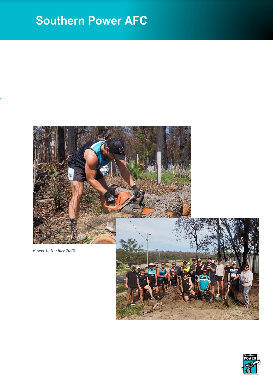

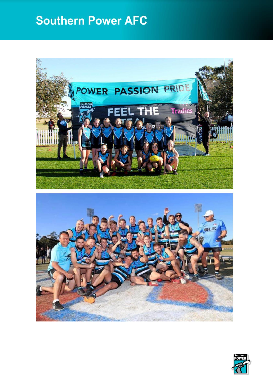

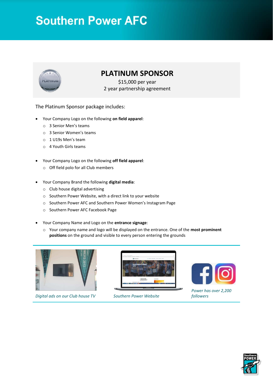

#### **PLATINUM SPONSOR**

\$15,000 per year 2 year partnership agreement

The Platinum Sponsor package includes:

- Your Company Logo on the following **on field apparel**:
	- o 3 Senior Men's teams
	- o 3 Senior Women's teams
	- o 1 U19s Men's team
	- o 4 Youth Girls teams
- Your Company Logo on the following **off field apparel**:
	- o Off field polo for all Club members
- Your Company Brand the following **digital media**:
	- o Club house digital advertising
	- o Southern Power Website, with a direct link to your website
	- o Southern Power AFC and Southern Power Women's Instagram Page
	- o Southern Power AFC Facebook Page
- Your Company Name and Logo on the **entrance signage**:
	- o Your company name and logo will be displayed on the entrance. One of the **most prominent positions** on the ground and visible to every person entering the grounds



*Digital ads on our Club house TV Southern Power Website*





*Power has over 2,200 followers*

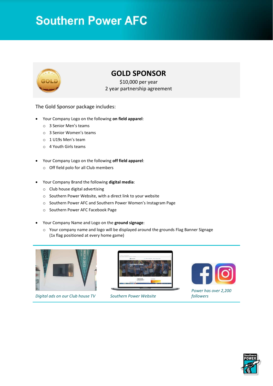

#### **GOLD SPONSOR**

\$10,000 per year 2 year partnership agreement

The Gold Sponsor package includes:

- Your Company Logo on the following **on field apparel**:
	- o 3 Senior Men's teams
	- o 3 Senior Women's teams
	- o 1 U19s Men's team
	- o 4 Youth Girls teams
- Your Company Logo on the following **off field apparel**:
	- o Off field polo for all Club members
- Your Company Brand the following **digital media**:
	- o Club house digital advertising
	- o Southern Power Website, with a direct link to your website
	- o Southern Power AFC and Southern Power Women's Instagram Page
	- o Southern Power AFC Facebook Page
- Your Company Name and Logo on the **ground signage**:
	- o Your company name and logo will be displayed around the grounds Flag Banner Signage (1x flag positioned at every home game)



*Digital ads on our Club house TV Southern Power Website*





*Power has over 2,200 followers*

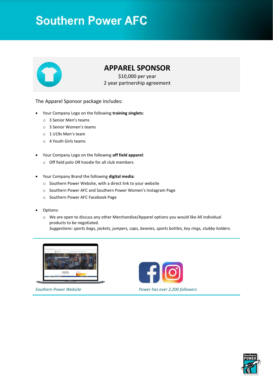

#### **APPAREL SPONSOR**

\$10,000 per year 2 year partnership agreement

The Apparel Sponsor package includes:

- Your Company Logo on the following **training singlets**:
	- o 3 Senior Men's teams
	- o 3 Senior Women's teams
	- o 1 U19s Men's team
	- o 4 Youth Girls teams
- Your Company Logo on the following **off field apparel**:
	- o Off field polo *OR* hoodie for all club members
- Your Company Brand the following **digital media**:
	- o Southern Power Website, with a direct link to your website
	- o Southern Power AFC and Southern Power Women's Instagram Page
	- o Southern Power AFC Facebook Page
- Options:
	- o We are open to discuss any other Merchandise/Apparel options you would like All individual products to be negotiated.

*Suggestions: sports bags, jackets, jumpers, caps, beanies, sports bottles, key rings, stubby holders.*





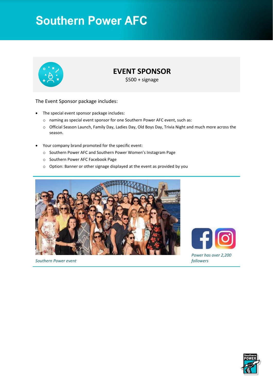

**EVENT SPONSOR**

\$500 + signage

The Event Sponsor package includes:

- The special event sponsor package includes:
	- o naming as special event sponsor for one Southern Power AFC event, such as:
	- o Official Season Launch, Family Day, Ladies Day, Old Boys Day, Trivia Night and much more across the season.
- Your company brand promoted for the specific event:
	- o Southern Power AFC and Southern Power Women's Instagram Page
	- o Southern Power AFC Facebook Page
	- o Option: Banner or other signage displayed at the event as provided by you



*Southern Power event*



*Power has over 2,200 followers*

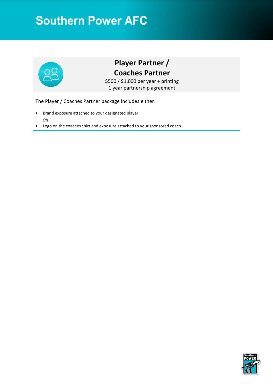

#### **Player Partner / Coaches Partner**

\$500 / \$1,000 per year + printing 1 year partnership agreement

The Player / Coaches Partner package includes either:

- Brand exposure attached to your designated player *OR*
- Logo on the coaches shirt and exposure attached to your sponsored coach

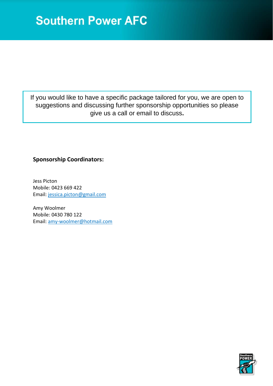If you would like to have a specific package tailored for you, we are open to suggestions and discussing further sponsorship opportunities so please give us a call or email to discuss**.**

#### **Sponsorship Coordinators:**

Jess Picton Mobile: 0423 669 422 Email: [jessica.picton@gmail.com](mailto:jessica.picton@gmail.com)

Amy Woolmer Mobile: 0430 780 122 Email: amy[-woolmer@hotmail.com](mailto:woolmer@hotmail.com)